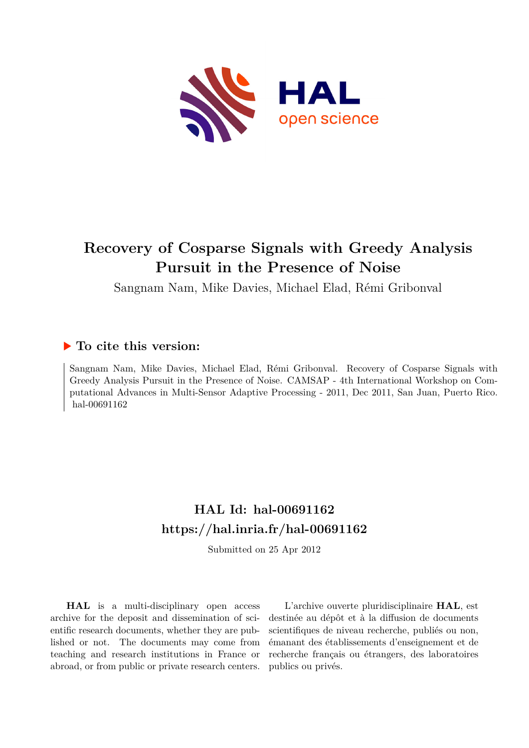

## **Recovery of Cosparse Signals with Greedy Analysis Pursuit in the Presence of Noise**

Sangnam Nam, Mike Davies, Michael Elad, Rémi Gribonval

### **To cite this version:**

Sangnam Nam, Mike Davies, Michael Elad, Rémi Gribonval. Recovery of Cosparse Signals with Greedy Analysis Pursuit in the Presence of Noise. CAMSAP - 4th International Workshop on Computational Advances in Multi-Sensor Adaptive Processing - 2011, Dec 2011, San Juan, Puerto Rico. hal-00691162

## **HAL Id: hal-00691162 <https://hal.inria.fr/hal-00691162>**

Submitted on 25 Apr 2012

**HAL** is a multi-disciplinary open access archive for the deposit and dissemination of scientific research documents, whether they are published or not. The documents may come from teaching and research institutions in France or abroad, or from public or private research centers.

L'archive ouverte pluridisciplinaire **HAL**, est destinée au dépôt et à la diffusion de documents scientifiques de niveau recherche, publiés ou non, émanant des établissements d'enseignement et de recherche français ou étrangers, des laboratoires publics ou privés.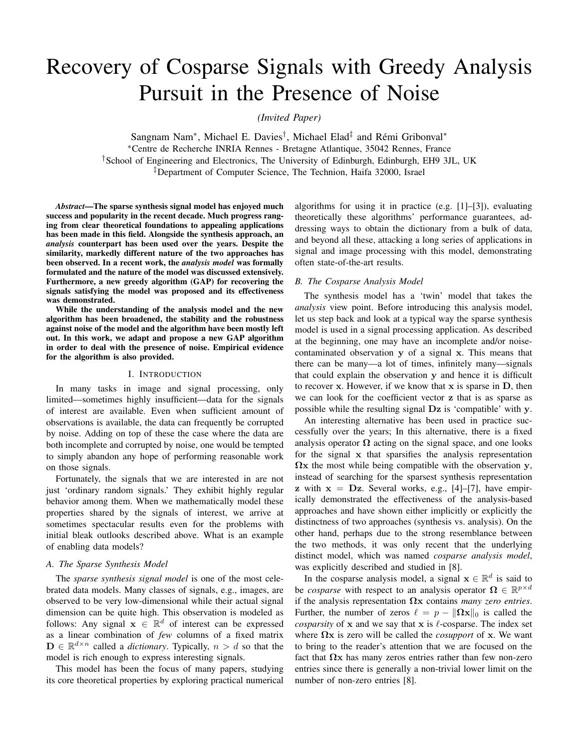# Recovery of Cosparse Signals with Greedy Analysis Pursuit in the Presence of Noise

*(Invited Paper)*

Sangnam Nam<sup>∗</sup>, Michael E. Davies<sup>†</sup>, Michael Elad<sup>‡</sup> and Rémi Gribonval<sup>∗</sup> <sup>∗</sup>Centre de Recherche INRIA Rennes - Bretagne Atlantique, 35042 Rennes, France †School of Engineering and Electronics, The University of Edinburgh, Edinburgh, EH9 3JL, UK ‡Department of Computer Science, The Technion, Haifa 32000, Israel

*Abstract*—The sparse synthesis signal model has enjoyed much success and popularity in the recent decade. Much progress ranging from clear theoretical foundations to appealing applications has been made in this field. Alongside the synthesis approach, an *analysis* counterpart has been used over the years. Despite the similarity, markedly different nature of the two approaches has been observed. In a recent work, the *analysis model* was formally formulated and the nature of the model was discussed extensively. Furthermore, a new greedy algorithm (GAP) for recovering the signals satisfying the model was proposed and its effectiveness was demonstrated.

While the understanding of the analysis model and the new algorithm has been broadened, the stability and the robustness against noise of the model and the algorithm have been mostly left out. In this work, we adapt and propose a new GAP algorithm in order to deal with the presence of noise. Empirical evidence for the algorithm is also provided.

#### I. INTRODUCTION

In many tasks in image and signal processing, only limited—sometimes highly insufficient—data for the signals of interest are available. Even when sufficient amount of observations is available, the data can frequently be corrupted by noise. Adding on top of these the case where the data are both incomplete and corrupted by noise, one would be tempted to simply abandon any hope of performing reasonable work on those signals.

Fortunately, the signals that we are interested in are not just 'ordinary random signals.' They exhibit highly regular behavior among them. When we mathematically model these properties shared by the signals of interest, we arrive at sometimes spectacular results even for the problems with initial bleak outlooks described above. What is an example of enabling data models?

#### *A. The Sparse Synthesis Model*

The *sparse synthesis signal model* is one of the most celebrated data models. Many classes of signals, e.g., images, are observed to be very low-dimensional while their actual signal dimension can be quite high. This observation is modeled as follows: Any signal  $\mathbf{x} \in \mathbb{R}^d$  of interest can be expressed as a linear combination of *few* columns of a fixed matrix  $\mathbf{D} \in \mathbb{R}^{d \times n}$  called a *dictionary*. Typically,  $n > d$  so that the model is rich enough to express interesting signals.

This model has been the focus of many papers, studying its core theoretical properties by exploring practical numerical algorithms for using it in practice (e.g. [1]–[3]), evaluating theoretically these algorithms' performance guarantees, addressing ways to obtain the dictionary from a bulk of data, and beyond all these, attacking a long series of applications in signal and image processing with this model, demonstrating often state-of-the-art results.

#### *B. The Cosparse Analysis Model*

The synthesis model has a 'twin' model that takes the *analysis* view point. Before introducing this analysis model, let us step back and look at a typical way the sparse synthesis model is used in a signal processing application. As described at the beginning, one may have an incomplete and/or noisecontaminated observation y of a signal x. This means that there can be many—a lot of times, infinitely many—signals that could explain the observation y and hence it is difficult to recover  $x$ . However, if we know that  $x$  is sparse in  $D$ , then we can look for the coefficient vector z that is as sparse as possible while the resulting signal Dz is 'compatible' with y.

An interesting alternative has been used in practice successfully over the years; In this alternative, there is a fixed analysis operator  $\Omega$  acting on the signal space, and one looks for the signal x that sparsifies the analysis representation  $\Omega$ x the most while being compatible with the observation y, instead of searching for the sparsest synthesis representation z with  $x = Dz$ . Several works, e.g., [4]–[7], have empirically demonstrated the effectiveness of the analysis-based approaches and have shown either implicitly or explicitly the distinctness of two approaches (synthesis vs. analysis). On the other hand, perhaps due to the strong resemblance between the two methods, it was only recent that the underlying distinct model, which was named *cosparse analysis model*, was explicitly described and studied in [8].

In the cosparse analysis model, a signal  $\mathbf{x} \in \mathbb{R}^d$  is said to be *cosparse* with respect to an analysis operator  $\Omega \in \mathbb{R}^{p \times d}$ if the analysis representation Ωx contains *many zero entries*. Further, the number of zeros  $\ell = p - ||\Omega x||_0$  is called the *cosparsity* of x and we say that x is  $\ell$ -cosparse. The index set where  $\Omega$ x is zero will be called the *cosupport* of x. We want to bring to the reader's attention that we are focused on the fact that  $\Omega x$  has many zeros entries rather than few non-zero entries since there is generally a non-trivial lower limit on the number of non-zero entries [8].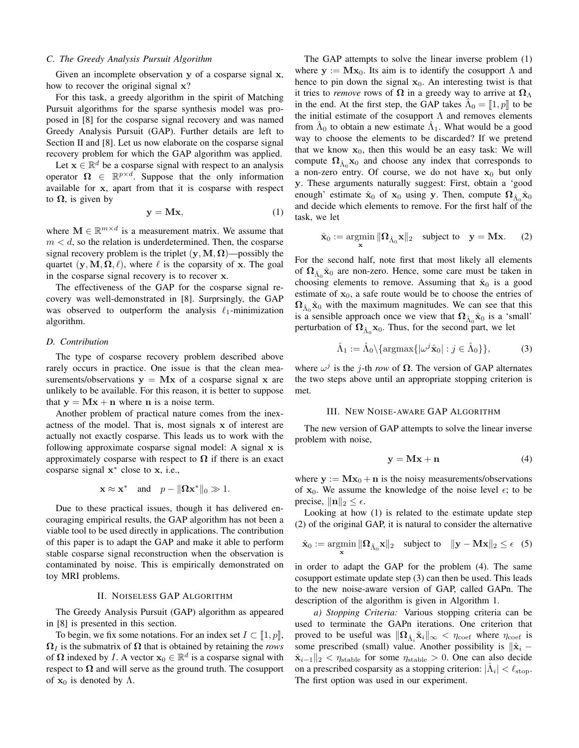#### *C. The Greedy Analysis Pursuit Algorithm*

Given an incomplete observation y of a cosparse signal x, how to recover the original signal x?

For this task, a greedy algorithm in the spirit of Matching Pursuit algorithms for the sparse synthesis model was proposed in [8] for the cosparse signal recovery and was named Greedy Analysis Pursuit (GAP). Further details are left to Section II and [8]. Let us now elaborate on the cosparse signal recovery problem for which the GAP algorithm was applied.

Let  $\mathbf{x} \in \mathbb{R}^d$  be a cosparse signal with respect to an analysis operator  $\Omega \in \mathbb{R}^{p \times d}$ . Suppose that the only information available for x, apart from that it is cosparse with respect to  $\Omega$ , is given by

$$
y = Mx, \tag{1}
$$

where  $\mathbf{M} \in \mathbb{R}^{m \times d}$  is a measurement matrix. We assume that  $m < d$ , so the relation is underdetermined. Then, the cosparse signal recovery problem is the triplet  $(y, M, \Omega)$ —possibly the quartet  $(\mathbf{y}, \mathbf{M}, \mathbf{\Omega}, \ell)$ , where  $\ell$  is the coparsity of x. The goal in the cosparse signal recovery is to recover x.

The effectiveness of the GAP for the cosparse signal recovery was well-demonstrated in [8]. Surprsingly, the GAP was observed to outperform the analysis  $\ell_1$ -minimization algorithm.

#### *D. Contribution*

The type of cosparse recovery problem described above rarely occurs in practice. One issue is that the clean measurements/observations  $y = Mx$  of a cosparse signal x are unlikely to be available. For this reason, it is better to suppose that  $y = Mx + n$  where n is a noise term.

Another problem of practical nature comes from the inexactness of the model. That is, most signals x of interest are actually not exactly cosparse. This leads us to work with the following approximate cosparse signal model: A signal x is approximately cosparse with respect to  $\Omega$  if there is an exact cosparse signal  $x^*$  close to x, i.e.,

$$
\mathbf{x} \approx \mathbf{x}^* \quad \text{and} \quad p - \|\mathbf{\Omega}\mathbf{x}^*\|_0 \gg 1.
$$

Due to these practical issues, though it has delivered encouraging empirical results, the GAP algorithm has not been a viable tool to be used directly in applications. The contribution of this paper is to adapt the GAP and make it able to perform stable cosparse signal reconstruction when the observation is contaminated by noise. This is empirically demonstrated on toy MRI problems.

#### II. NOISELESS GAP ALGORITHM

The Greedy Analysis Pursuit (GAP) algorithm as appeared in [8] is presented in this section.

To begin, we fix some notations. For an index set  $I \subset [1, p]$ ,  $\Omega_I$  is the submatrix of  $\Omega$  that is obtained by retaining the *rows* of  $\Omega$  indexed by *I*. A vector  $x_0 \in \mathbb{R}^d$  is a cosparse signal with respect to  $\Omega$  and will serve as the ground truth. The cosupport of  $x_0$  is denoted by  $\Lambda$ .

The GAP attempts to solve the linear inverse problem (1) where  $y := Mx_0$ . Its aim is to identify the cosupport  $\Lambda$  and hence to pin down the signal  $x_0$ . An interesting twist is that it tries to *remove* rows of  $\Omega$  in a greedy way to arrive at  $\Omega_{\Lambda}$ in the end. At the first step, the GAP takes  $\hat{\Lambda}_0 = [\![1, p]\!]$  to be the initial estimate of the cosupport  $\Lambda$  and removes elements from  $\hat{\Lambda}_0$  to obtain a new estimate  $\hat{\Lambda}_1$ . What would be a good way to choose the elements to be discarded? If we pretend that we know  $x_0$ , then this would be an easy task: We will compute  $\Omega_{\hat{\Lambda}_0}$  x<sub>0</sub> and choose any index that corresponds to a non-zero entry. Of course, we do not have  $x_0$  but only y. These arguments naturally suggest: First, obtain a 'good enough' estimate  $\hat{\mathbf{x}}_0$  of  $\mathbf{x}_0$  using y. Then, compute  $\mathbf{\Omega}_{\hat{\Lambda}_0} \hat{\mathbf{x}}_0$ and decide which elements to remove. For the first half of the task, we let

$$
\hat{\mathbf{x}}_0 := \underset{\mathbf{x}}{\operatorname{argmin}} \|\mathbf{\Omega}_{\hat{\Lambda}_0}\mathbf{x}\|_2 \quad \text{subject to} \quad \mathbf{y} = \mathbf{M}\mathbf{x}.\tag{2}
$$

For the second half, note first that most likely all elements of  $\Omega_{\hat{\Lambda}_0} \hat{\mathbf{x}}_0$  are non-zero. Hence, some care must be taken in choosing elements to remove. Assuming that  $\hat{\mathbf{x}}_0$  is a good estimate of  $x_0$ , a safe route would be to choose the entries of  $\Omega_{\hat{\Lambda}_0} \hat{\mathbf{x}}_0$  with the maximum magnitudes. We can see that this is a sensible approach once we view that  $\Omega_{\hat{\Lambda}_0} \hat{\mathbf{x}}_0$  is a 'small' perturbation of  $\mathbf{\Omega}_{\hat{\Lambda}_0} \mathbf{x}_0$ . Thus, for the second part, we let

$$
\hat{\Lambda}_1 := \hat{\Lambda}_0 \setminus \{ \operatorname{argmax} \{ |\omega^j \hat{\mathbf{x}}_0| : j \in \hat{\Lambda}_0 \} \},\tag{3}
$$

where  $\omega^{j}$  is the j-th *row* of  $\Omega$ . The version of GAP alternates the two steps above until an appropriate stopping criterion is met.

#### III. NEW NOISE-AWARE GAP ALGORITHM

The new version of GAP attempts to solve the linear inverse problem with noise,

$$
y = Mx + n \tag{4}
$$

where  $y := Mx_0 + n$  is the noisy measurements/observations of  $x_0$ . We assume the knowledge of the noise level  $\epsilon$ ; to be precise,  $\|\mathbf{n}\|_2 \leq \epsilon$ .

Looking at how (1) is related to the estimate update step (2) of the original GAP, it is natural to consider the alternative

$$
\hat{\mathbf{x}}_0 := \underset{\mathbf{x}}{\operatorname{argmin}} \|\mathbf{\Omega}_{\hat{\Lambda}_0}\mathbf{x}\|_2 \quad \text{subject to} \quad \|\mathbf{y} - \mathbf{M}\mathbf{x}\|_2 \le \epsilon \quad (5)
$$

in order to adapt the GAP for the problem (4). The same cosupport estimate update step (3) can then be used. This leads to the new noise-aware version of GAP, called GAPn. The description of the algorithm is given in Algorithm 1.

*a) Stopping Criteria:* Various stopping criteria can be used to terminate the GAPn iterations. One criterion that proved to be useful was  $\|\mathbf{\Omega}_{\hat{\Lambda}_i}\hat{\mathbf{x}}_i\|_{\infty} < \eta_{\text{coef}}$  where  $\eta_{\text{coef}}$  is some prescribed (small) value. Another possibility is  $\|\hat{\mathbf{x}}_i \hat{\mathbf{x}}_{i-1}\|_2 < \eta_{\text{stable}}$  for some  $\eta_{\text{stable}} > 0$ . One can also decide on a prescribed cosparsity as a stopping criterion:  $|\hat{\Lambda}_i| < \ell_{\text{stop}}$ . The first option was used in our experiment.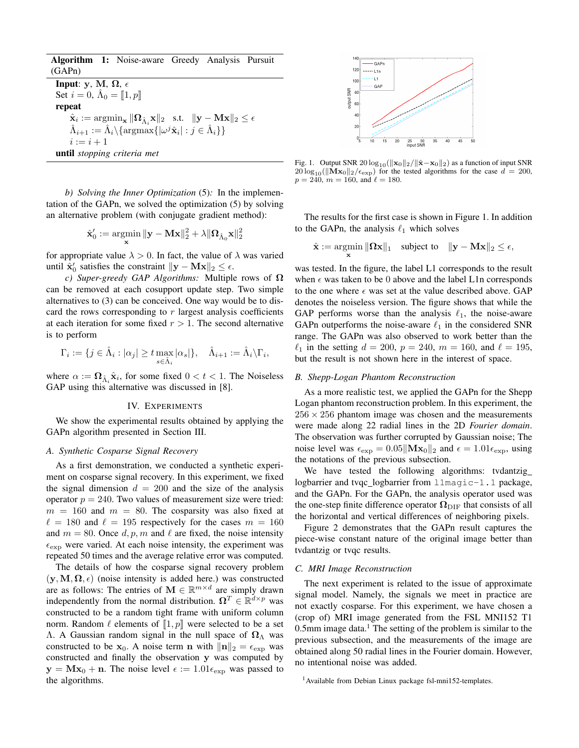Algorithm 1: Noise-aware Greedy Analysis Pursuit (GAPn)

Input: y, M,  $\Omega$ ,  $\epsilon$ Set  $i = 0$ ,  $\hat{\Lambda}_0 = [\![1, p]\!]$ repeat  $\hat{\mathbf{x}}_i := \mathop{\mathrm{argmin}}_{\mathbf{x}} \|\mathbf{\Omega}_{\hat{\Lambda}_i} \mathbf{x}\|_2 \ \ \text{ s.t.} \ \ \|\mathbf{y} - \mathbf{M} \mathbf{x}\|_2 \leq \epsilon$  $\hat{\Lambda}_{i+1} := \hat{\Lambda}_i \setminus {\text{argmax\{|\omega^j \hat{\mathbf{x}}_i| : j \in \hat{\Lambda}_i\}}$  $i := i + 1$ until *stopping criteria met*

*b) Solving the Inner Optimization* (5)*:* In the implementation of the GAPn, we solved the optimization (5) by solving an alternative problem (with conjugate gradient method):

$$
\hat{\mathbf{x}}_0' := \mathop{\mathrm{argmin}}_{\mathbf{x}} \|\mathbf{y} - \mathbf{Mx}\|_2^2 + \lambda \|\mathbf{\Omega}_{\hat{\Lambda}_0}\mathbf{x}\|_2^2
$$

for appropriate value  $\lambda > 0$ . In fact, the value of  $\lambda$  was varied until  $\hat{\mathbf{x}}'_0$  satisfies the constraint  $\|\mathbf{y} - \mathbf{Mx}\|_2 \leq \epsilon$ .

*c) Super-greedy GAP Algorithms:* Multiple rows of Ω can be removed at each cosupport update step. Two simple alternatives to (3) can be conceived. One way would be to discard the rows corresponding to  $r$  largest analysis coefficients at each iteration for some fixed  $r > 1$ . The second alternative is to perform

$$
\Gamma_i := \{ j \in \hat{\Lambda}_i : |\alpha_j| \geq t \max_{s \in \hat{\Lambda}_i} |\alpha_s| \}, \quad \hat{\Lambda}_{i+1} := \hat{\Lambda}_i \backslash \Gamma_i,
$$

where  $\alpha := \mathbf{\Omega}_{\hat{\Lambda}_i} \hat{\mathbf{x}}_i$ , for some fixed  $0 < t < 1$ . The Noiseless GAP using this alternative was discussed in [8].

#### IV. EXPERIMENTS

We show the experimental results obtained by applying the GAPn algorithm presented in Section III.

#### *A. Synthetic Cosparse Signal Recovery*

As a first demonstration, we conducted a synthetic experiment on cosparse signal recovery. In this experiment, we fixed the signal dimension  $d = 200$  and the size of the analysis operator  $p = 240$ . Two values of measurement size were tried:  $m = 160$  and  $m = 80$ . The cosparsity was also fixed at  $\ell = 180$  and  $\ell = 195$  respectively for the cases  $m = 160$ and  $m = 80$ . Once  $d, p, m$  and  $\ell$  are fixed, the noise intensity  $\epsilon_{\exp}$  were varied. At each noise intensity, the experiment was repeated 50 times and the average relative error was computed.

The details of how the cosparse signal recovery problem  $(y, M, \Omega, \epsilon)$  (noise intensity is added here.) was constructed are as follows: The entries of  $\mathbf{M} \in \mathbb{R}^{m \times d}$  are simply drawn independently from the normal distribution.  $\Omega^T \in \mathbb{R}^{d \times p}$  was constructed to be a random tight frame with uniform column norm. Random  $\ell$  elements of  $\llbracket 1, p \rrbracket$  were selected to be a set Λ. A Gaussian random signal in the null space of  $\Omega_{\Lambda}$  was constructed to be  $x_0$ . A noise term n with  $||n||_2 = \epsilon_{\text{exp}}$  was constructed and finally the observation y was computed by  $y = Mx_0 + n$ . The noise level  $\epsilon := 1.01\epsilon_{\exp}$  was passed to the algorithms.



Fig. 1. Output SNR 20  $\log_{10}(\|\mathbf{x}_0\|_2/\|\hat{\mathbf{x}}-\mathbf{x}_0\|_2)$  as a function of input SNR  $20 \log_{10}(\|\mathbf{Mx}_0\|_2/\epsilon_{\exp})$  for the tested algorithms for the case  $d = 200$ ,  $p = 240$ ,  $m = 160$ , and  $\ell = 180$ .

The results for the first case is shown in Figure 1. In addition to the GAPn, the analysis  $\ell_1$  which solves

$$
\hat{\mathbf{x}} := \operatornamewithlimits{argmin}_{\mathbf{x}} \|\mathbf{\Omega} \mathbf{x}\|_1 \quad \text{subject to} \quad \|\mathbf{y} - \mathbf{M} \mathbf{x}\|_2 \leq \epsilon,
$$

was tested. In the figure, the label L1 corresponds to the result when  $\epsilon$  was taken to be 0 above and the label L1n corresponds to the one where  $\epsilon$  was set at the value described above. GAP denotes the noiseless version. The figure shows that while the GAP performs worse than the analysis  $\ell_1$ , the noise-aware GAPn outperforms the noise-aware  $\ell_1$  in the considered SNR range. The GAPn was also observed to work better than the  $\ell_1$  in the setting  $d = 200$ ,  $p = 240$ ,  $m = 160$ , and  $\ell = 195$ , but the result is not shown here in the interest of space.

#### *B. Shepp-Logan Phantom Reconstruction*

As a more realistic test, we applied the GAPn for the Shepp Logan phantom reconstruction problem. In this experiment, the  $256 \times 256$  phantom image was chosen and the measurements were made along 22 radial lines in the 2D *Fourier domain*. The observation was further corrupted by Gaussian noise; The noise level was  $\epsilon_{\exp} = 0.05 ||\mathbf{Mx}_0||_2$  and  $\epsilon = 1.01\epsilon_{\exp}$ , using the notations of the previous subsection.

We have tested the following algorithms: tvdantzig logbarrier and tvqc logbarrier from l1magic-1.1 package, and the GAPn. For the GAPn, the analysis operator used was the one-step finite difference operator  $\Omega_{\rm DIF}$  that consists of all the horizontal and vertical differences of neighboring pixels.

Figure 2 demonstrates that the GAPn result captures the piece-wise constant nature of the original image better than tvdantzig or tvqc results.

#### *C. MRI Image Reconstruction*

The next experiment is related to the issue of approximate signal model. Namely, the signals we meet in practice are not exactly cosparse. For this experiment, we have chosen a (crop of) MRI image generated from the FSL MNI152 T1 0.5mm image data.<sup>1</sup> The setting of the problem is similar to the previous subsection, and the measurements of the image are obtained along 50 radial lines in the Fourier domain. However, no intentional noise was added.

<sup>&</sup>lt;sup>1</sup> Available from Debian Linux package fsl-mni152-templates.